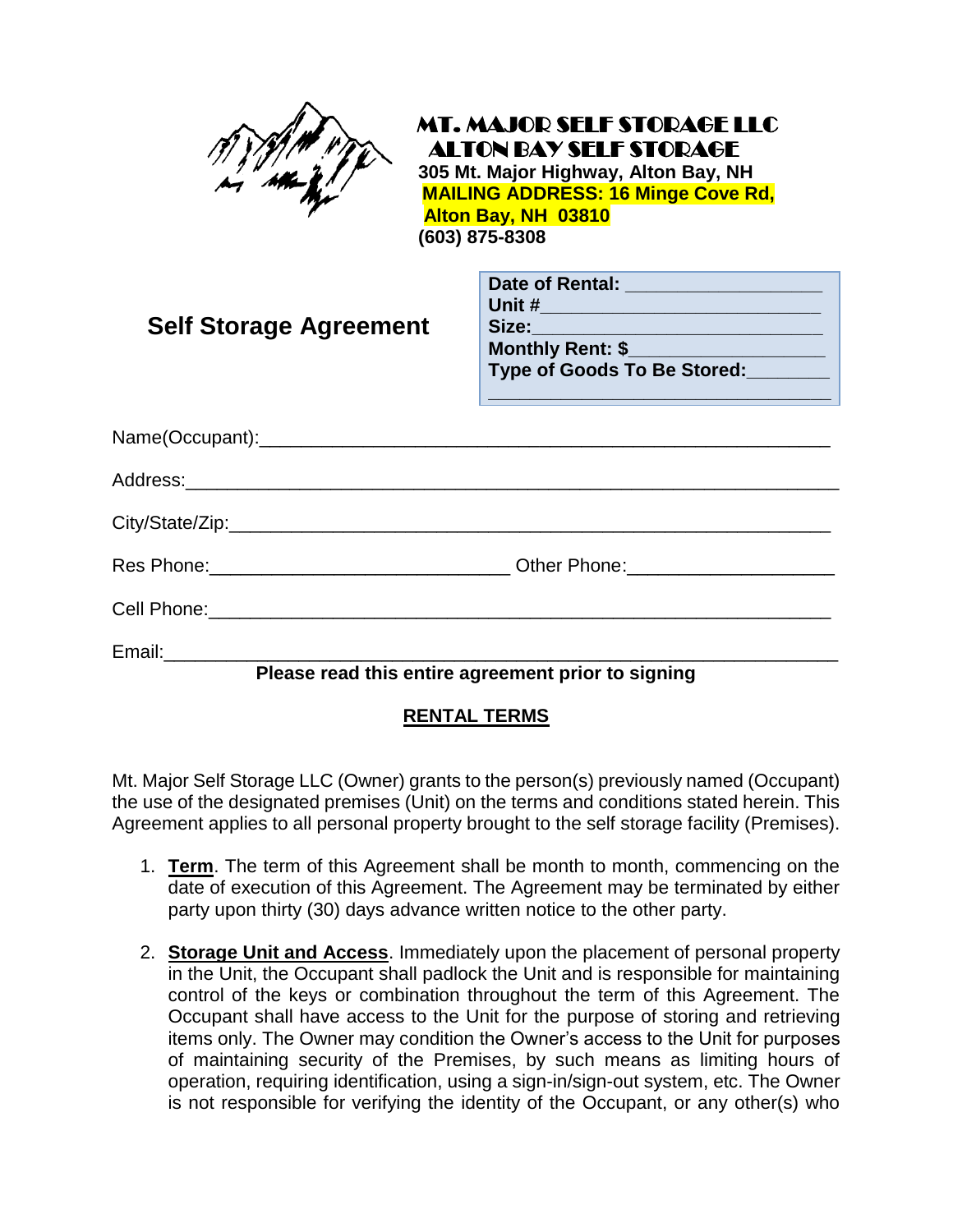

 MT. MAJOR SELF STORAGE LLC ALTON BAY SELF STORAGE  **305 Mt. Major Highway, Alton Bay, NH MAILING ADDRESS: 16 Minge Cove Rd,** 

 **Alton Bay, NH 03810**

 **(603) 875-8308**

| <b>Self Storage Agreement</b> | Date of Rental: _____________________<br><u>Unit #________________________________</u> __<br>Type of Goods To Be Stored:<br><u> 1989 - Johann Harry Hermann, meil am Franch am Franch a</u> |
|-------------------------------|---------------------------------------------------------------------------------------------------------------------------------------------------------------------------------------------|
|                               |                                                                                                                                                                                             |
|                               |                                                                                                                                                                                             |
|                               |                                                                                                                                                                                             |
|                               | Res Phone:_______________________________Other Phone:_____________________                                                                                                                  |
|                               |                                                                                                                                                                                             |
|                               | Please read this entire agreement prior to signing                                                                                                                                          |

## **RENTAL TERMS**

Mt. Major Self Storage LLC (Owner) grants to the person(s) previously named (Occupant) the use of the designated premises (Unit) on the terms and conditions stated herein. This Agreement applies to all personal property brought to the self storage facility (Premises).

- 1. **Term**. The term of this Agreement shall be month to month, commencing on the date of execution of this Agreement. The Agreement may be terminated by either party upon thirty (30) days advance written notice to the other party.
- 2. **Storage Unit and Access**. Immediately upon the placement of personal property in the Unit, the Occupant shall padlock the Unit and is responsible for maintaining control of the keys or combination throughout the term of this Agreement. The Occupant shall have access to the Unit for the purpose of storing and retrieving items only. The Owner may condition the Owner's access to the Unit for purposes of maintaining security of the Premises, by such means as limiting hours of operation, requiring identification, using a sign-in/sign-out system, etc. The Owner is not responsible for verifying the identity of the Occupant, or any other(s) who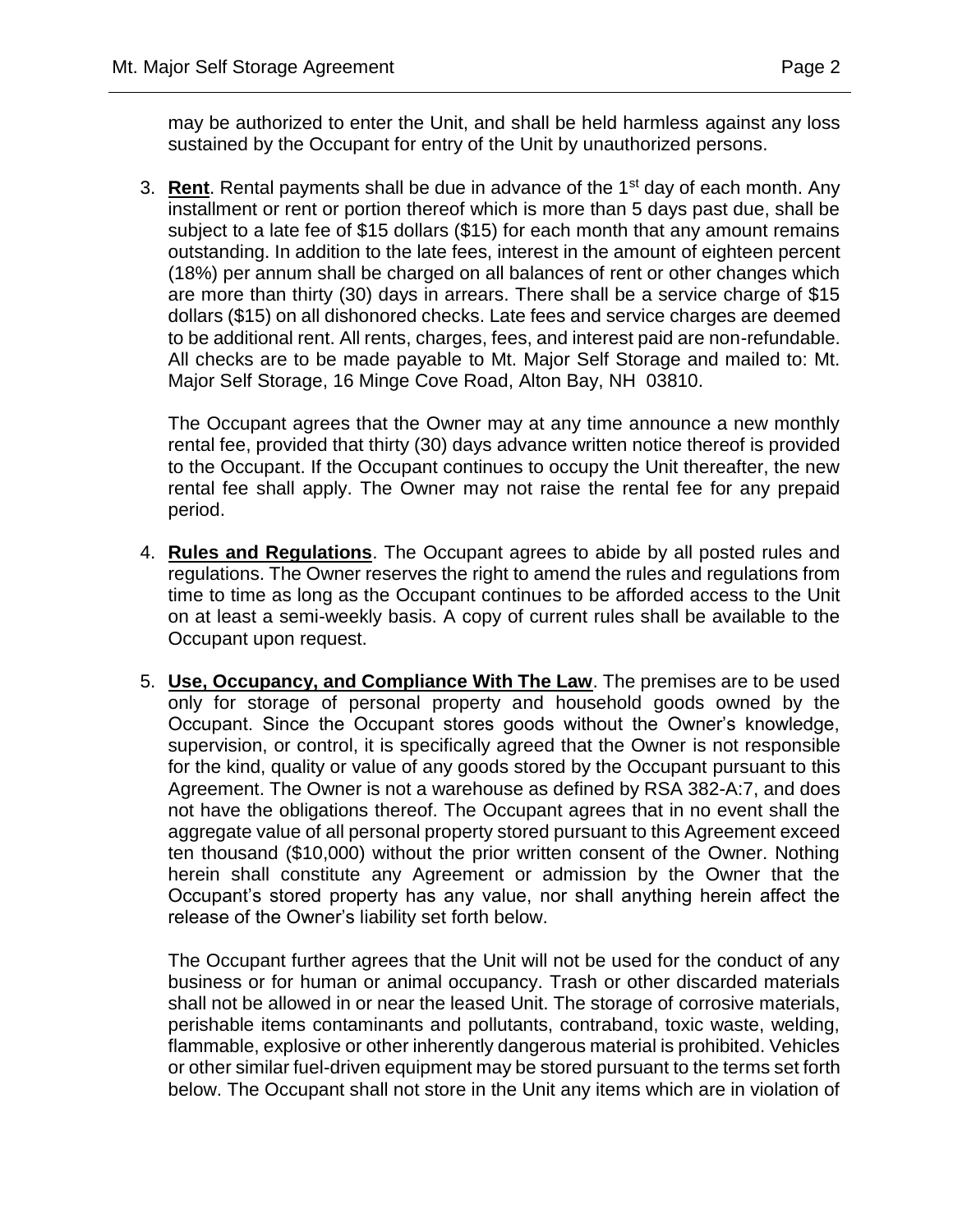may be authorized to enter the Unit, and shall be held harmless against any loss sustained by the Occupant for entry of the Unit by unauthorized persons.

3. **Rent**. Rental payments shall be due in advance of the 1st day of each month. Any installment or rent or portion thereof which is more than 5 days past due, shall be subject to a late fee of \$15 dollars (\$15) for each month that any amount remains outstanding. In addition to the late fees, interest in the amount of eighteen percent (18%) per annum shall be charged on all balances of rent or other changes which are more than thirty (30) days in arrears. There shall be a service charge of \$15 dollars (\$15) on all dishonored checks. Late fees and service charges are deemed to be additional rent. All rents, charges, fees, and interest paid are non-refundable. All checks are to be made payable to Mt. Major Self Storage and mailed to: Mt. Major Self Storage, 16 Minge Cove Road, Alton Bay, NH 03810.

The Occupant agrees that the Owner may at any time announce a new monthly rental fee, provided that thirty (30) days advance written notice thereof is provided to the Occupant. If the Occupant continues to occupy the Unit thereafter, the new rental fee shall apply. The Owner may not raise the rental fee for any prepaid period.

- 4. **Rules and Regulations**. The Occupant agrees to abide by all posted rules and regulations. The Owner reserves the right to amend the rules and regulations from time to time as long as the Occupant continues to be afforded access to the Unit on at least a semi-weekly basis. A copy of current rules shall be available to the Occupant upon request.
- 5. **Use, Occupancy, and Compliance With The Law**. The premises are to be used only for storage of personal property and household goods owned by the Occupant. Since the Occupant stores goods without the Owner's knowledge, supervision, or control, it is specifically agreed that the Owner is not responsible for the kind, quality or value of any goods stored by the Occupant pursuant to this Agreement. The Owner is not a warehouse as defined by RSA 382-A:7, and does not have the obligations thereof. The Occupant agrees that in no event shall the aggregate value of all personal property stored pursuant to this Agreement exceed ten thousand (\$10,000) without the prior written consent of the Owner. Nothing herein shall constitute any Agreement or admission by the Owner that the Occupant's stored property has any value, nor shall anything herein affect the release of the Owner's liability set forth below.

The Occupant further agrees that the Unit will not be used for the conduct of any business or for human or animal occupancy. Trash or other discarded materials shall not be allowed in or near the leased Unit. The storage of corrosive materials, perishable items contaminants and pollutants, contraband, toxic waste, welding, flammable, explosive or other inherently dangerous material is prohibited. Vehicles or other similar fuel-driven equipment may be stored pursuant to the terms set forth below. The Occupant shall not store in the Unit any items which are in violation of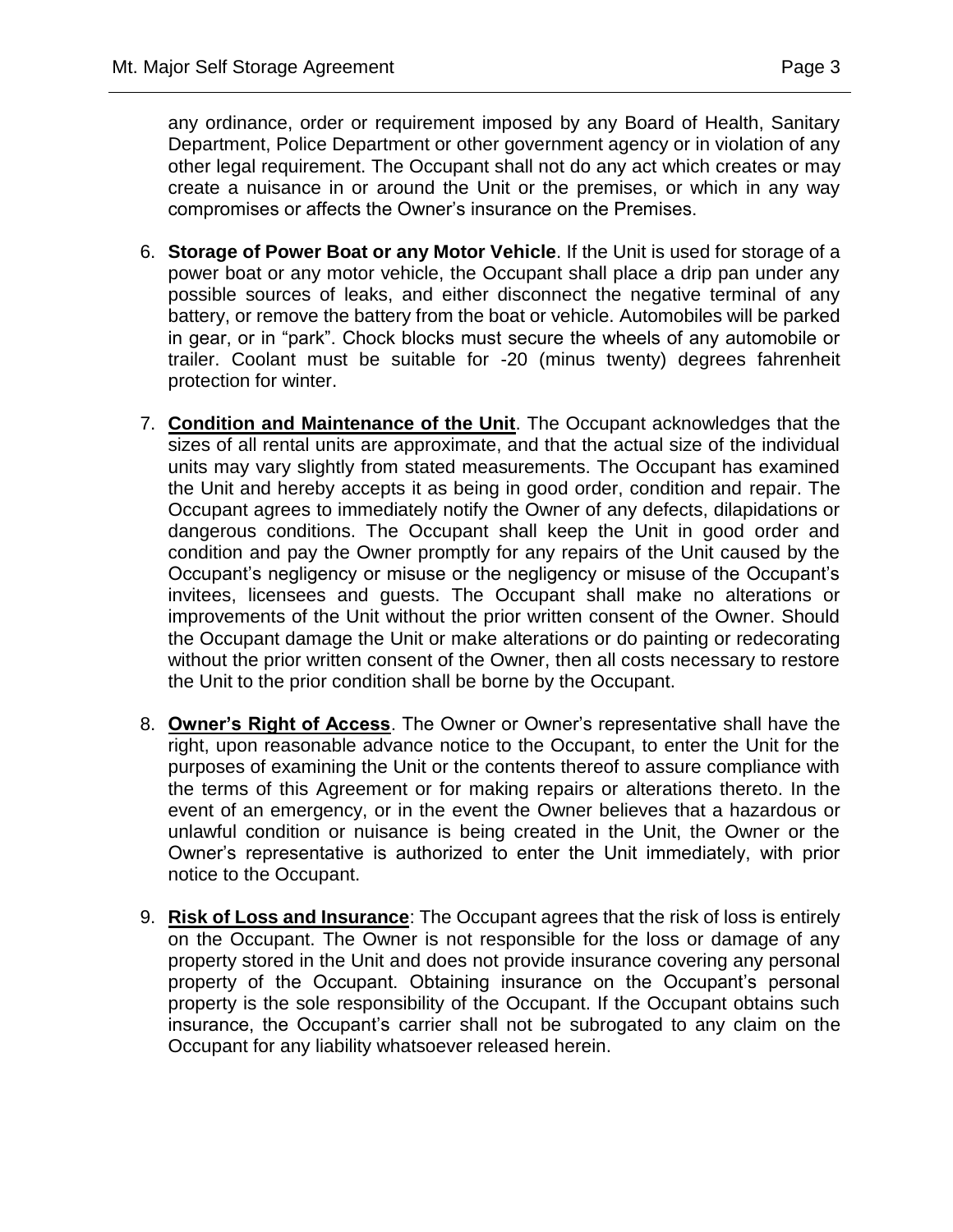any ordinance, order or requirement imposed by any Board of Health, Sanitary Department, Police Department or other government agency or in violation of any other legal requirement. The Occupant shall not do any act which creates or may create a nuisance in or around the Unit or the premises, or which in any way compromises or affects the Owner's insurance on the Premises.

- 6. **Storage of Power Boat or any Motor Vehicle**. If the Unit is used for storage of a power boat or any motor vehicle, the Occupant shall place a drip pan under any possible sources of leaks, and either disconnect the negative terminal of any battery, or remove the battery from the boat or vehicle. Automobiles will be parked in gear, or in "park". Chock blocks must secure the wheels of any automobile or trailer. Coolant must be suitable for -20 (minus twenty) degrees fahrenheit protection for winter.
- 7. **Condition and Maintenance of the Unit**. The Occupant acknowledges that the sizes of all rental units are approximate, and that the actual size of the individual units may vary slightly from stated measurements. The Occupant has examined the Unit and hereby accepts it as being in good order, condition and repair. The Occupant agrees to immediately notify the Owner of any defects, dilapidations or dangerous conditions. The Occupant shall keep the Unit in good order and condition and pay the Owner promptly for any repairs of the Unit caused by the Occupant's negligency or misuse or the negligency or misuse of the Occupant's invitees, licensees and guests. The Occupant shall make no alterations or improvements of the Unit without the prior written consent of the Owner. Should the Occupant damage the Unit or make alterations or do painting or redecorating without the prior written consent of the Owner, then all costs necessary to restore the Unit to the prior condition shall be borne by the Occupant.
- 8. **Owner's Right of Access**. The Owner or Owner's representative shall have the right, upon reasonable advance notice to the Occupant, to enter the Unit for the purposes of examining the Unit or the contents thereof to assure compliance with the terms of this Agreement or for making repairs or alterations thereto. In the event of an emergency, or in the event the Owner believes that a hazardous or unlawful condition or nuisance is being created in the Unit, the Owner or the Owner's representative is authorized to enter the Unit immediately, with prior notice to the Occupant.
- 9. **Risk of Loss and Insurance**: The Occupant agrees that the risk of loss is entirely on the Occupant. The Owner is not responsible for the loss or damage of any property stored in the Unit and does not provide insurance covering any personal property of the Occupant. Obtaining insurance on the Occupant's personal property is the sole responsibility of the Occupant. If the Occupant obtains such insurance, the Occupant's carrier shall not be subrogated to any claim on the Occupant for any liability whatsoever released herein.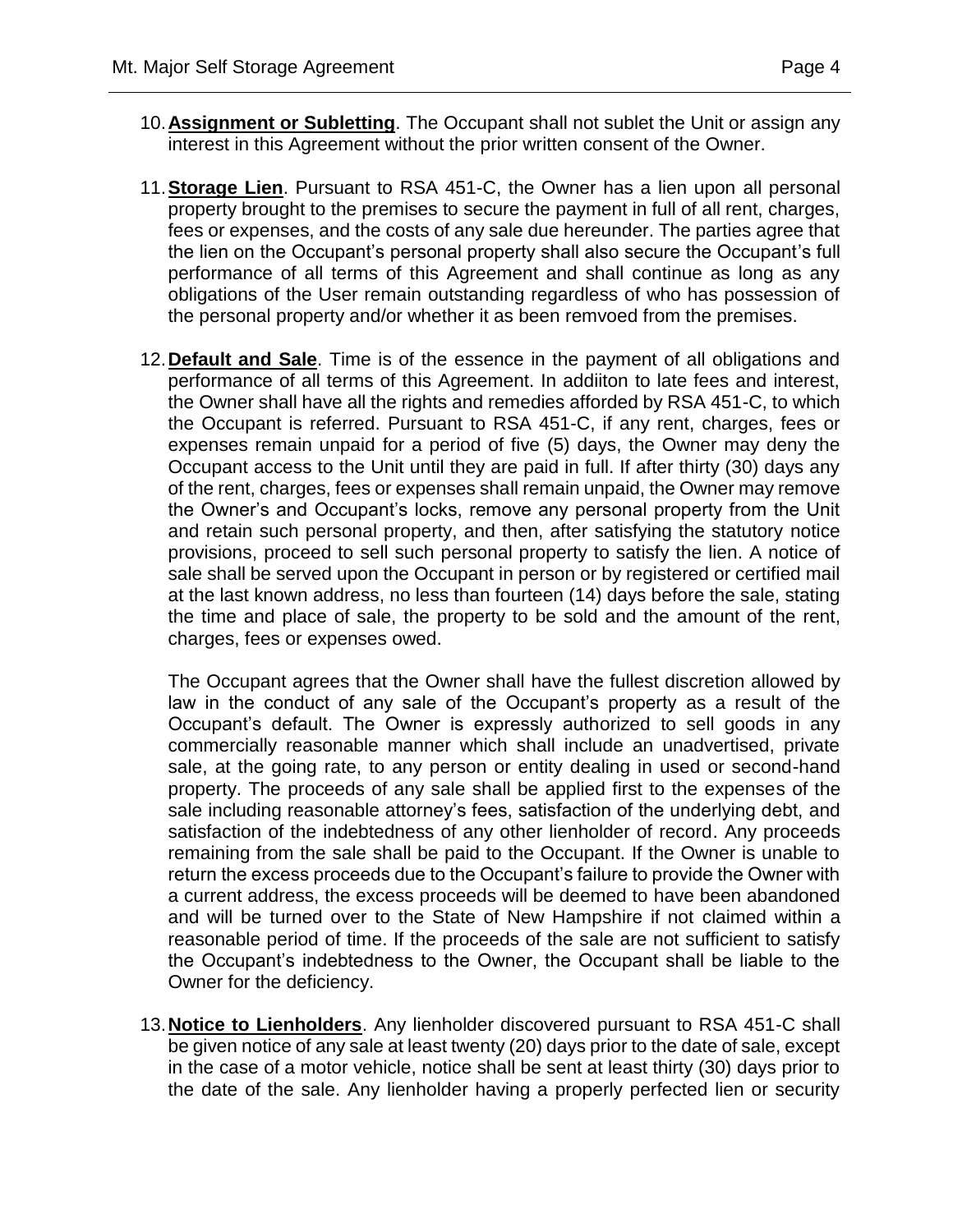- 10.**Assignment or Subletting**. The Occupant shall not sublet the Unit or assign any interest in this Agreement without the prior written consent of the Owner.
- 11.**Storage Lien**. Pursuant to RSA 451-C, the Owner has a lien upon all personal property brought to the premises to secure the payment in full of all rent, charges, fees or expenses, and the costs of any sale due hereunder. The parties agree that the lien on the Occupant's personal property shall also secure the Occupant's full performance of all terms of this Agreement and shall continue as long as any obligations of the User remain outstanding regardless of who has possession of the personal property and/or whether it as been remvoed from the premises.
- 12.**Default and Sale**. Time is of the essence in the payment of all obligations and performance of all terms of this Agreement. In addiiton to late fees and interest, the Owner shall have all the rights and remedies afforded by RSA 451-C, to which the Occupant is referred. Pursuant to RSA 451-C, if any rent, charges, fees or expenses remain unpaid for a period of five (5) days, the Owner may deny the Occupant access to the Unit until they are paid in full. If after thirty (30) days any of the rent, charges, fees or expenses shall remain unpaid, the Owner may remove the Owner's and Occupant's locks, remove any personal property from the Unit and retain such personal property, and then, after satisfying the statutory notice provisions, proceed to sell such personal property to satisfy the lien. A notice of sale shall be served upon the Occupant in person or by registered or certified mail at the last known address, no less than fourteen (14) days before the sale, stating the time and place of sale, the property to be sold and the amount of the rent, charges, fees or expenses owed.

The Occupant agrees that the Owner shall have the fullest discretion allowed by law in the conduct of any sale of the Occupant's property as a result of the Occupant's default. The Owner is expressly authorized to sell goods in any commercially reasonable manner which shall include an unadvertised, private sale, at the going rate, to any person or entity dealing in used or second-hand property. The proceeds of any sale shall be applied first to the expenses of the sale including reasonable attorney's fees, satisfaction of the underlying debt, and satisfaction of the indebtedness of any other lienholder of record. Any proceeds remaining from the sale shall be paid to the Occupant. If the Owner is unable to return the excess proceeds due to the Occupant's failure to provide the Owner with a current address, the excess proceeds will be deemed to have been abandoned and will be turned over to the State of New Hampshire if not claimed within a reasonable period of time. If the proceeds of the sale are not sufficient to satisfy the Occupant's indebtedness to the Owner, the Occupant shall be liable to the Owner for the deficiency.

13.**Notice to Lienholders**. Any lienholder discovered pursuant to RSA 451-C shall be given notice of any sale at least twenty (20) days prior to the date of sale, except in the case of a motor vehicle, notice shall be sent at least thirty (30) days prior to the date of the sale. Any lienholder having a properly perfected lien or security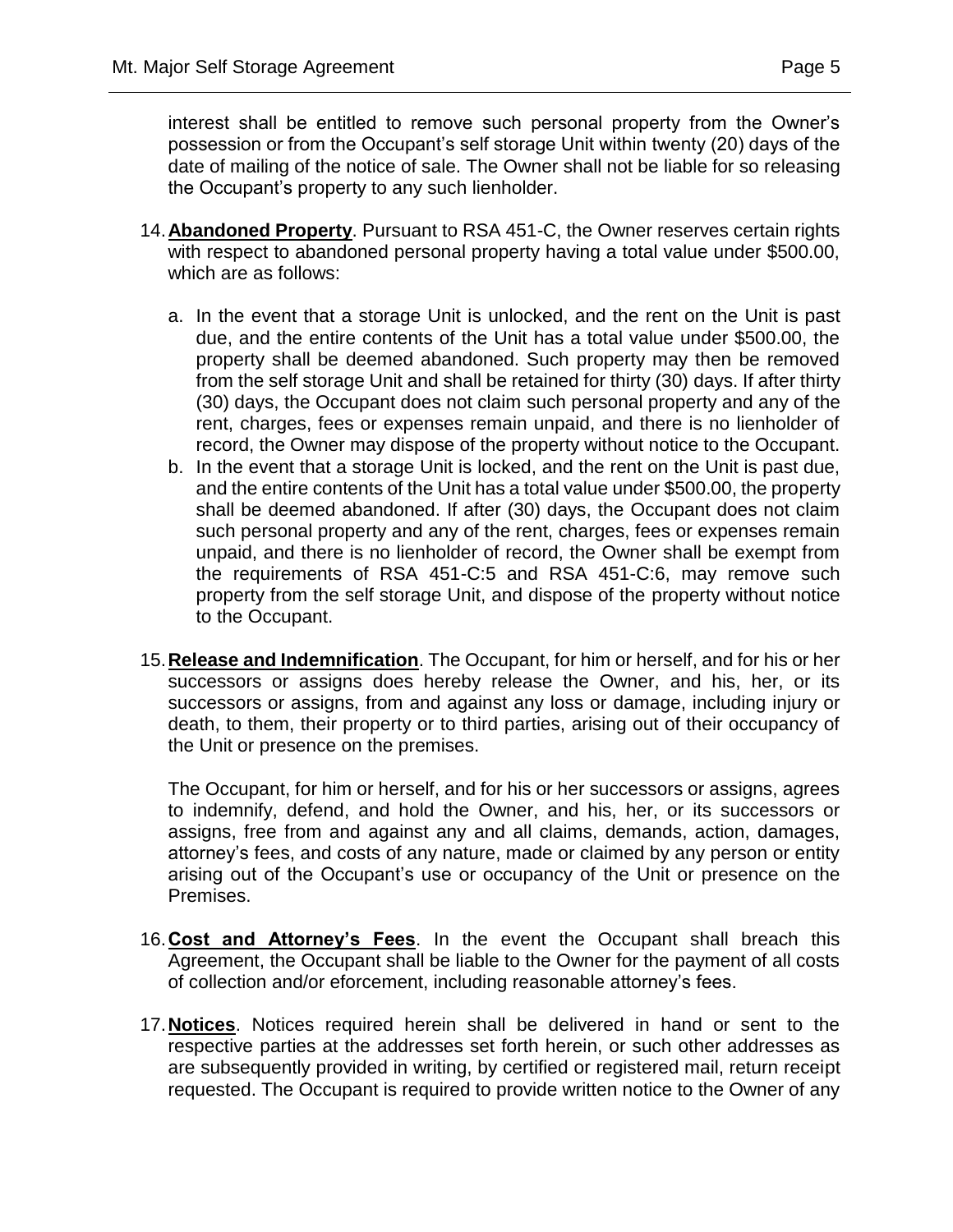interest shall be entitled to remove such personal property from the Owner's possession or from the Occupant's self storage Unit within twenty (20) days of the date of mailing of the notice of sale. The Owner shall not be liable for so releasing the Occupant's property to any such lienholder.

- 14.**Abandoned Property**. Pursuant to RSA 451-C, the Owner reserves certain rights with respect to abandoned personal property having a total value under \$500.00, which are as follows:
	- a. In the event that a storage Unit is unlocked, and the rent on the Unit is past due, and the entire contents of the Unit has a total value under \$500.00, the property shall be deemed abandoned. Such property may then be removed from the self storage Unit and shall be retained for thirty (30) days. If after thirty (30) days, the Occupant does not claim such personal property and any of the rent, charges, fees or expenses remain unpaid, and there is no lienholder of record, the Owner may dispose of the property without notice to the Occupant.
	- b. In the event that a storage Unit is locked, and the rent on the Unit is past due, and the entire contents of the Unit has a total value under \$500.00, the property shall be deemed abandoned. If after (30) days, the Occupant does not claim such personal property and any of the rent, charges, fees or expenses remain unpaid, and there is no lienholder of record, the Owner shall be exempt from the requirements of RSA 451-C:5 and RSA 451-C:6, may remove such property from the self storage Unit, and dispose of the property without notice to the Occupant.
- 15.**Release and Indemnification**. The Occupant, for him or herself, and for his or her successors or assigns does hereby release the Owner, and his, her, or its successors or assigns, from and against any loss or damage, including injury or death, to them, their property or to third parties, arising out of their occupancy of the Unit or presence on the premises.

The Occupant, for him or herself, and for his or her successors or assigns, agrees to indemnify, defend, and hold the Owner, and his, her, or its successors or assigns, free from and against any and all claims, demands, action, damages, attorney's fees, and costs of any nature, made or claimed by any person or entity arising out of the Occupant's use or occupancy of the Unit or presence on the Premises.

- 16.**Cost and Attorney's Fees**. In the event the Occupant shall breach this Agreement, the Occupant shall be liable to the Owner for the payment of all costs of collection and/or eforcement, including reasonable attorney's fees.
- 17.**Notices**. Notices required herein shall be delivered in hand or sent to the respective parties at the addresses set forth herein, or such other addresses as are subsequently provided in writing, by certified or registered mail, return receipt requested. The Occupant is required to provide written notice to the Owner of any